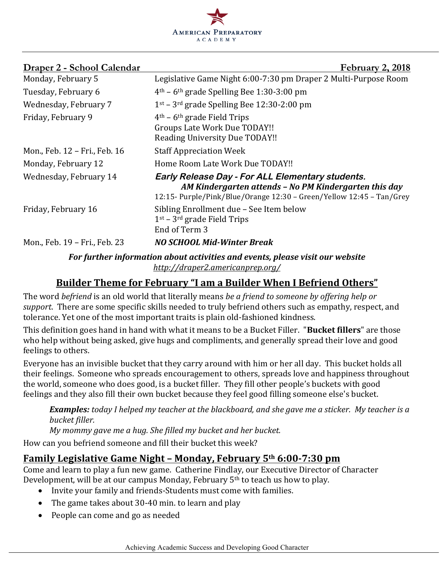

| <u> Draper 2 - School Calendar</u>                                            | February 2, 2018                                                                                                                                                                  |
|-------------------------------------------------------------------------------|-----------------------------------------------------------------------------------------------------------------------------------------------------------------------------------|
| Monday, February 5                                                            | Legislative Game Night 6:00-7:30 pm Draper 2 Multi-Purpose Room                                                                                                                   |
| Tuesday, February 6                                                           | $4th$ – 6 <sup>th</sup> grade Spelling Bee 1:30-3:00 pm                                                                                                                           |
| Wednesday, February 7                                                         | $1st$ – 3 <sup>rd</sup> grade Spelling Bee 12:30-2:00 pm                                                                                                                          |
| Friday, February 9                                                            | $4th$ – 6 <sup>th</sup> grade Field Trips<br>Groups Late Work Due TODAY!!<br>Reading University Due TODAY!!                                                                       |
| Mon., Feb. 12 - Fri., Feb. 16                                                 | <b>Staff Appreciation Week</b>                                                                                                                                                    |
| Monday, February 12                                                           | Home Room Late Work Due TODAY!!                                                                                                                                                   |
| Wednesday, February 14                                                        | Early Release Day - For ALL Elementary students.<br>AM Kindergarten attends - No PM Kindergarten this day<br>12:15- Purple/Pink/Blue/Orange 12:30 - Green/Yellow 12:45 - Tan/Grey |
| Friday, February 16                                                           | Sibling Enrollment due - See Item below<br>$1st$ – 3 <sup>rd</sup> grade Field Trips<br>End of Term 3                                                                             |
| Mon., Feb. 19 - Fri., Feb. 23                                                 | <b>NO SCHOOL Mid-Winter Break</b>                                                                                                                                                 |
| For further information about activities and events, please visit our website |                                                                                                                                                                                   |

*http://draper2.americanprep.org/*

# Builder Theme for February "I am a Builder When I Befriend Others"

The word *befriend* is an old world that literally means *be a friend to someone by offering help or support*. There are some specific skills needed to truly befriend others such as empathy, respect, and tolerance. Yet one of the most important traits is plain old-fashioned kindness.

This definition goes hand in hand with what it means to be a Bucket Filler. "**Bucket fillers**" are those who help without being asked, give hugs and compliments, and generally spread their love and good feelings to others.

Everyone has an invisible bucket that they carry around with him or her all day. This bucket holds all their feelings. Someone who spreads encouragement to others, spreads love and happiness throughout the world, someone who does good, is a bucket filler. They fill other people's buckets with good feelings and they also fill their own bucket because they feel good filling someone else's bucket.

**Examples:** today I helped my teacher at the blackboard, and she gave me a sticker. My teacher is a *bucket filler.*

*My* mommy gave me a hug. She filled my bucket and her bucket.

How can you befriend someone and fill their bucket this week?

### **Family Legislative Game Night - Monday, February 5th 6:00-7:30 pm**

Come and learn to play a fun new game. Catherine Findlay, our Executive Director of Character Development, will be at our campus Monday, February  $5<sup>th</sup>$  to teach us how to play.

- Invite your family and friends-Students must come with families.
- The game takes about  $30-40$  min. to learn and play
- People can come and go as needed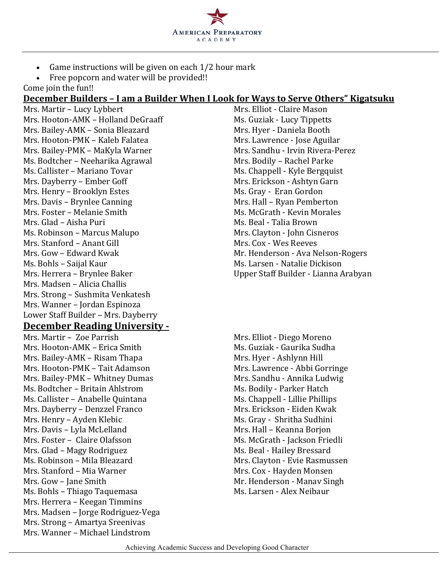

- Game instructions will be given on each  $1/2$  hour mark
- Free popcorn and water will be provided!!

Come join the fun!!

#### **December Builders – I am a Builder When I Look for Ways to Serve Others" Kigatsuku**

Mrs. Martir – Lucy Lybbert Mrs. Elliot - Claire Mason Mrs. Hooton-AMK – Holland DeGraaff Ms. Guziak - Lucy Tippetts Mrs. Bailey-AMK - Sonia Bleazard Mrs. Hyer - Daniela Booth Mrs. Hooton-PMK – Kaleb Falatea Mrs. Lawrence - Jose Aguilar Mrs. Bailey-PMK - MaKyla Warner Mrs. Sandhu - Irvin Rivera-Perez Ms. Bodtcher – Neeharika Agrawal Mrs. Bodily – Rachel Parke Ms. Callister – Mariano Tovar Ms. Chappell - Kyle Bergquist Mrs. Dayberry – Ember Goff Mrs. Erickson - Ashtyn Garn Mrs. Henry – Brooklyn Estes Ms. Gray - Eran Gordon Mrs. Davis – Brynlee Canning and Mrs. Hall – Ryan Pemberton Mrs. Foster – Melanie Smith Ms. McGrath - Kevin Morales Mrs. Glad – Aisha Puri Ms. Beal - Talia Brown Ms. Robinson – Marcus Malupo Mrs. Clayton - John Cisneros Mrs. Stanford – Anant Gill Mrs. Cox - Wes Reeves Mrs. Gow – Edward Kwak Mr. Henderson - Ava Nelson-Rogers Ms. Bohls – Saijal Kaur Ms. Larsen - Natalie Dickison Mrs. Herrera – Brynlee Baker Upper Staff Builder - Lianna Arabyan Mrs. Madsen - Alicia Challis Mrs. Strong – Sushmita Venkatesh Mrs. Wanner - Jordan Espinoza Lower Staff Builder - Mrs. Dayberry

#### **December Reading University -**

Mrs. Martir – Zoe Parrish Mrs. Elliot - Diego Moreno Mrs. Hooton-AMK – Erica Smith Ms. Guziak - Gaurika Sudha Mrs. Bailey-AMK – Risam Thapa Mrs. Hyer - Ashlynn Hill Mrs. Hooton-PMK – Tait Adamson Mrs. Lawrence - Abbi Gorringe Mrs. Bailey-PMK – Whitney Dumas Mrs. Sandhu - Annika Ludwig Ms. Bodtcher – Britain Ahlstrom Ms. Bodily - Parker Hatch Ms. Callister – Anabelle Quintana Ms. Chappell - Lillie Phillips Mrs. Dayberry - Denzzel Franco Mrs. Erickson - Eiden Kwak Mrs. Henry – Ayden Klebic Ms. Gray - Shritha Sudhini Mrs. Davis – Lyla McLelland Mrs. Hall – Keanna Borjon Mrs. Foster – Claire Olafsson Ms. McGrath - Jackson Friedli Mrs. Glad – Magy Rodriguez Ms. Beal - Hailey Bressard Ms. Robinson – Mila Bleazard Mrs. Clayton - Evie Rasmussen Mrs. Stanford – Mia Warner Mrs. Cox - Hayden Monsen Mrs. Gow – Jane Smith Mrs. Gow – Jane Smith Mrs. Gow – Manav Singh Ms. Bohls – Thiago Taquemasa Ms. Larsen - Alex Neibaur Mrs. Herrera - Keegan Timmins Mrs. Madsen - Jorge Rodriguez-Vega Mrs. Strong - Amartya Sreenivas Mrs. Wanner – Michael Lindstrom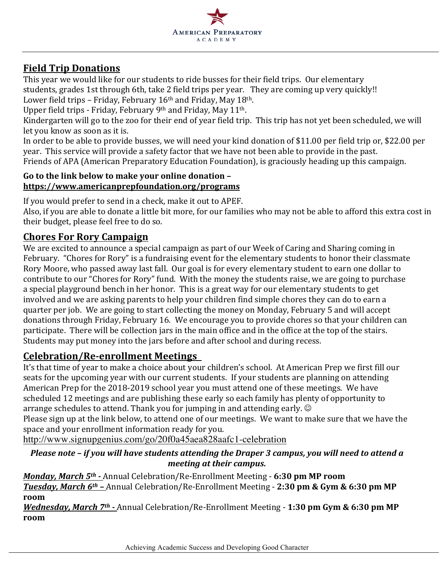

# **Field Trip Donations**

This year we would like for our students to ride busses for their field trips. Our elementary students, grades 1st through 6th, take 2 field trips per year. They are coming up very quickly!! Lower field trips - Friday, February 16<sup>th</sup> and Friday, May 18<sup>th</sup>.

Upper field trips - Friday, February 9th and Friday, May 11th.

Kindergarten will go to the zoo for their end of year field trip. This trip has not yet been scheduled, we will let you know as soon as it is.

In order to be able to provide busses, we will need your kind donation of \$11.00 per field trip or, \$22.00 per year. This service will provide a safety factor that we have not been able to provide in the past. Friends of APA (American Preparatory Education Foundation), is graciously heading up this campaign.

#### Go to the link below to make your online donation **https://www.americanprepfoundation.org/programs**

If you would prefer to send in a check, make it out to APEF.

Also, if you are able to donate a little bit more, for our families who may not be able to afford this extra cost in their budget, please feel free to do so.

# **Chores For Rory Campaign**

We are excited to announce a special campaign as part of our Week of Caring and Sharing coming in February. "Chores for Rory" is a fundraising event for the elementary students to honor their classmate Rory Moore, who passed away last fall. Our goal is for every elementary student to earn one dollar to contribute to our "Chores for Rory" fund. With the money the students raise, we are going to purchase a special playground bench in her honor. This is a great way for our elementary students to get involved and we are asking parents to help your children find simple chores they can do to earn a quarter per job. We are going to start collecting the money on Monday, February 5 and will accept donations through Friday, February 16. We encourage you to provide chores so that your children can participate. There will be collection jars in the main office and in the office at the top of the stairs. Students may put money into the jars before and after school and during recess.

### **Celebration/Re-enrollment Meetings**

It's that time of year to make a choice about your children's school. At American Prep we first fill our seats for the upcoming year with our current students. If your students are planning on attending American Prep for the 2018-2019 school year you must attend one of these meetings. We have scheduled 12 meetings and are publishing these early so each family has plenty of opportunity to arrange schedules to attend. Thank you for jumping in and attending early.  $\odot$ Please sign up at the link below, to attend one of our meetings. We want to make sure that we have the space and your enrollment information ready for you.

http://www.signupgenius.com/go/20f0a45aea828aafc1-celebration

#### *Please note - if you will have students attending the Draper 3 campus, you will need to attend a meeting at their campus.*

*Monday, March* 5<sup>th</sup> - Annual Celebration/Re-Enrollment Meeting - 6:30 pm MP room *Tuesday, March*  $6^{th}$  – Annual Celebration/Re-Enrollment Meeting - 2:30 pm & Gym & 6:30 pm MP **room**

*Wednesday, March 7<sup>th</sup> - Annual Celebration/Re-Enrollment Meeting - 1:30 pm Gym & 6:30 pm MP* **room**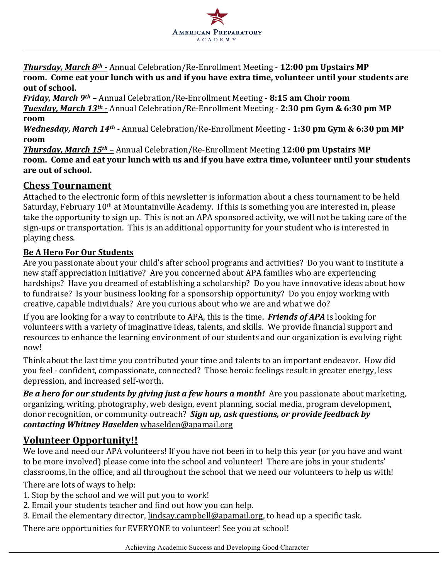

**Thursday, March 8th - Annual Celebration/Re-Enrollment Meeting - 12:00 pm Upstairs MP** room. Come eat your lunch with us and if you have extra time, volunteer until your students are out of school.

*Friday, March 9<sup>th</sup>* – Annual Celebration/Re-Enrollment Meeting - 8:15 am Choir room *Tuesday, March 13th - Annual Celebration/Re-Enrollment Meeting - 2:30 pm Gym & 6:30 pm MP* **room**

*Wednesday, March* 14<sup>th</sup> - Annual Celebration/Re-Enrollment Meeting - 1:30 pm Gym & 6:30 pm MP **room**

**Thursday, March 15th - Annual Celebration/Re-Enrollment Meeting 12:00 pm Upstairs MP** room. Come and eat your lunch with us and if you have extra time, volunteer until your students are out of school.

## **Chess Tournament**

Attached to the electronic form of this newsletter is information about a chess tournament to be held Saturday, February 10<sup>th</sup> at Mountainville Academy. If this is something you are interested in, please take the opportunity to sign up. This is not an APA sponsored activity, we will not be taking care of the sign-ups or transportation. This is an additional opportunity for your student who is interested in playing chess.

#### **Be A Hero For Our Students**

Are vou passionate about your child's after school programs and activities? Do you want to institute a new staff appreciation initiative? Are you concerned about APA families who are experiencing hardships? Have you dreamed of establishing a scholarship? Do you have innovative ideas about how to fundraise? Is your business looking for a sponsorship opportunity? Do you enjoy working with creative, capable individuals? Are you curious about who we are and what we do?

If you are looking for a way to contribute to APA, this is the time. *Friends of APA* is looking for volunteers with a variety of imaginative ideas, talents, and skills. We provide financial support and resources to enhance the learning environment of our students and our organization is evolving right now!

Think about the last time you contributed your time and talents to an important endeavor. How did you feel - confident, compassionate, connected? Those heroic feelings result in greater energy, less depression, and increased self-worth.

**Be a hero for our students by giving just a few hours a month!** Are you passionate about marketing, organizing, writing, photography, web design, event planning, social media, program development, donor recognition, or community outreach? *Sign up, ask questions, or provide feedback by contacting Whitney Haselden* whaselden@apamail.org

### **Volunteer Opportunity!!**

We love and need our APA volunteers! If you have not been in to help this year (or you have and want to be more involved) please come into the school and volunteer! There are jobs in your students' classrooms, in the office, and all throughout the school that we need our volunteers to help us with!

There are lots of ways to help:

- 1. Stop by the school and we will put you to work!
- 2. Email your students teacher and find out how you can help.
- 3. Email the elementary director, lindsay.campbell@apamail.org, to head up a specific task.

There are opportunities for EVERYONE to volunteer! See you at school!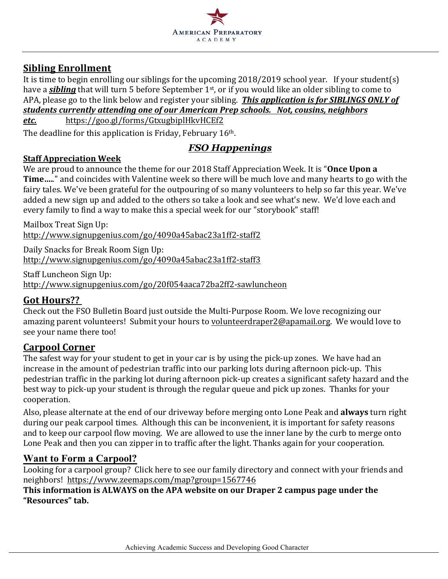

# **Sibling Enrollment**

It is time to begin enrolling our siblings for the upcoming  $2018/2019$  school year. If your student(s) have a *sibling* that will turn 5 before September 1<sup>st</sup>, or if you would like an older sibling to come to APA, please go to the link below and register your sibling. *This application is for SIBLINGS ONLY of students currently attending one of our American Prep schools. Not, cousins, neighbors etc.* https://goo.gl/forms/GtxugbiplHkvHCEf2

The deadline for this application is Friday, February  $16<sup>th</sup>$ .

## *FSO Happenings*

#### **Staff Appreciation Week**

We are proud to announce the theme for our 2018 Staff Appreciation Week. It is "Once Upon a **Time.....**" and coincides with Valentine week so there will be much love and many hearts to go with the fairy tales. We've been grateful for the outpouring of so many volunteers to help so far this year. We've added a new sign up and added to the others so take a look and see what's new. We'd love each and every family to find a way to make this a special week for our "storybook" staff!

Mailbox Treat Sign Up: http://www.signupgenius.com/go/4090a45abac23a1ff2-staff2

Daily Snacks for Break Room Sign Up: http://www.signupgenius.com/go/4090a45abac23a1ff2-staff3

Staff Luncheon Sign Up: http://www.signupgenius.com/go/20f054aaca72ba2ff2-sawluncheon

### **Got Hours??**

Check out the FSO Bulletin Board just outside the Multi-Purpose Room. We love recognizing our amazing parent volunteers! Submit your hours to volunteerdraper2@apamail.org. We would love to see your name there too!

### **Carpool Corner**

The safest way for your student to get in your car is by using the pick-up zones. We have had an increase in the amount of pedestrian traffic into our parking lots during afternoon pick-up. This pedestrian traffic in the parking lot during afternoon pick-up creates a significant safety hazard and the best way to pick-up your student is through the regular queue and pick up zones. Thanks for your cooperation. 

Also, please alternate at the end of our driveway before merging onto Lone Peak and **always** turn right during our peak carpool times. Although this can be inconvenient, it is important for safety reasons and to keep our carpool flow moving. We are allowed to use the inner lane by the curb to merge onto Lone Peak and then you can zipper in to traffic after the light. Thanks again for your cooperation.

### **Want to Form a Carpool?**

Looking for a carpool group? Click here to see our family directory and connect with your friends and neighbors! https://www.zeemaps.com/map?group=1567746

This information is ALWAYS on the APA website on our Draper 2 campus page under the **"Resources" tab.**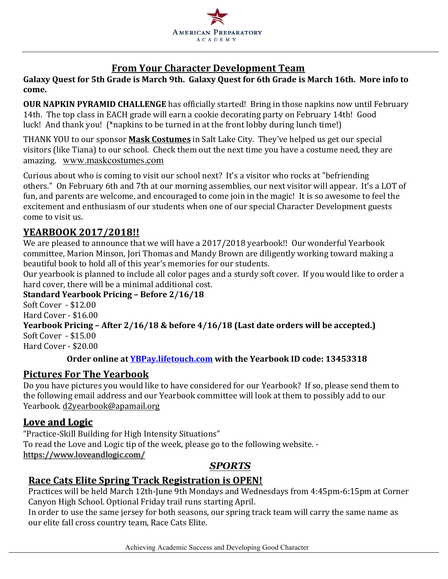

# **From Your Character Development Team**

Galaxy Quest for 5th Grade is March 9th. Galaxy Quest for 6th Grade is March 16th. More info to **come.**

**OUR NAPKIN PYRAMID CHALLENGE** has officially started! Bring in those napkins now until February 14th. The top class in EACH grade will earn a cookie decorating party on February 14th! Good luck! And thank you! (\*napkins to be turned in at the front lobby during lunch time!)

THANK YOU to our sponsor **Mask Costumes** in Salt Lake City. They've helped us get our special visitors (like Tiana) to our school. Check them out the next time you have a costume need, they are amazing. www.maskcostumes.com

Curious about who is coming to visit our school next? It's a visitor who rocks at "befriending others." On February 6th and 7th at our morning assemblies, our next visitor will appear. It's a LOT of fun, and parents are welcome, and encouraged to come join in the magic! It is so awesome to feel the excitement and enthusiasm of our students when one of our special Character Development guests come to visit us.

## **YEARBOOK 2017/2018!!**

We are pleased to announce that we will have a 2017/2018 yearbook!! Our wonderful Yearbook committee, Marion Minson, Jori Thomas and Mandy Brown are diligently working toward making a beautiful book to hold all of this year's memories for our students.

Our vearbook is planned to include all color pages and a sturdy soft cover. If you would like to order a hard cover, there will be a minimal additional cost.

#### **Standard Yearbook Pricing – Before 2/16/18**

Soft Cover - \$12.00 Hard Cover  $-$  \$16.00

## **Yearbook Pricing - After 2/16/18 & before 4/16/18 (Last date orders will be accepted.)**  $SoftCover - $15.00$

Hard Cover - \$20.00

#### **Order online at YBPay.lifetouch.com** with the Yearbook ID code: 13453318

## **Pictures For The Yearbook**

Do you have pictures you would like to have considered for our Yearbook? If so, please send them to the following email address and our Yearbook committee will look at them to possibly add to our Yearbook. d2yearbook@apamail.org

### Love and Logic

"Practice-Skill Building for High Intensity Situations" To read the Love and Logic tip of the week, please go to the following website. https://www.loveandlogic.com/

### *SPORTS*

### **Race Cats Elite Spring Track Registration is OPEN!**

Practices will be held March 12th-June 9th Mondays and Wednesdays from 4:45pm-6:15pm at Corner Canyon High School. Optional Friday trail runs starting April.

In order to use the same jersey for both seasons, our spring track team will carry the same name as our elite fall cross country team, Race Cats Elite.

Achieving Academic Success and Developing Good Character